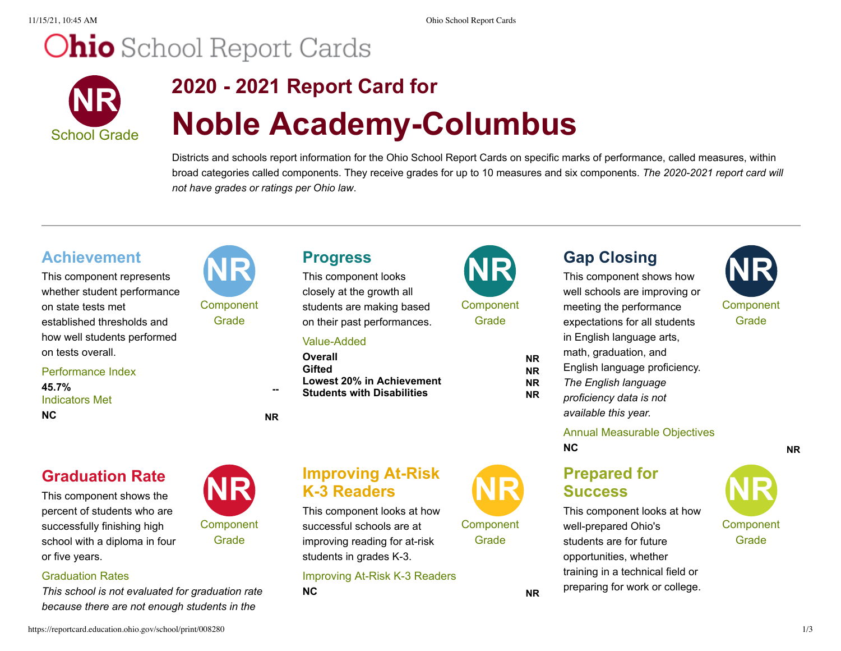11/15/21, 10:45 AM Ohio School Report Cards

# **Ohio** School Report Cards



# **2020 - 2021 Report Card for Noble Academy-Columbus**

Districts and schools report information for the Ohio School Report Cards on specific marks of performance, called measures, within broad categories called components. They receive grades for up to 10 measures and six components. *The 2020-2021 report card will not have grades or ratings per Ohio law*.

### **Achievement**

This component represents whether student performance on state tests met established thresholds and how well students performed on tests overall.

#### Performance Index **45.7% --**

Indicators Met **NC NR**

## **Graduation Rate**

This component shows the percent of students who are successfully finishing high school with a diploma in four or five years.

#### Graduation Rates

*This school is not evaluated for graduation rate because there are not enough students in the*



Component **Grade** 

closely at the growth all students are making based on their past performances.

#### Value-Added

**Overall NR Gifted NR Lowest 20% in Achievement NR Students with Disabilities NR** 



**Grade** 

# **Gap Closing**

This component shows how well schools are improving or meeting the performance expectations for all students in English language arts, math, graduation, and English language proficiency. *The English language proficiency data is not available this year.*



#### Annual Measurable Objectives **NC NR**

### **Prepared for Success**

This component looks at how well-prepared Ohio's students are for future opportunities, whether training in a technical field or preparing for work or college.

Component Grade



This component looks at how successful schools are at improving reading for at-risk students in grades K-3.

Improving At-Risk K-3 Readers **NC NR**



**Component Grade** 

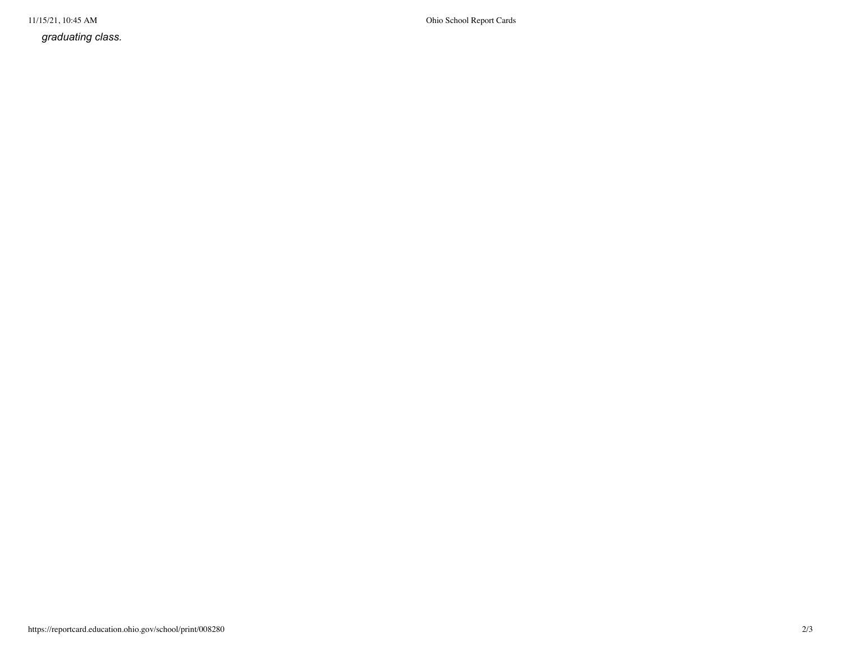*graduating class.*

11/15/21, 10:45 AM Ohio School Report Cards